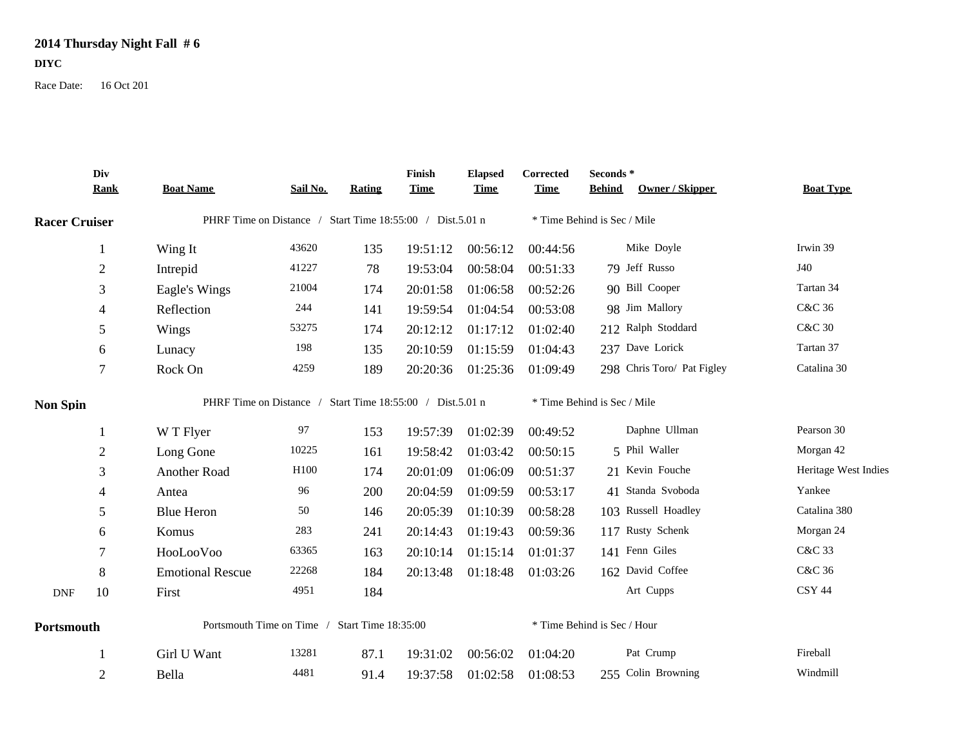## **2014 Thursday Night Fall # 6**

**DIYC**

Race Date: 16 Oct 201

|                      | Div<br><b>Rank</b>      | <b>Boat Name</b>                                          | Sail No.         | Rating | Finish<br><b>Time</b> | <b>Elapsed</b><br><b>Time</b> | Corrected<br><b>Time</b>    | Seconds*<br><b>Owner / Skipper</b><br><b>Behind</b> | <b>Boat Type</b>     |  |  |
|----------------------|-------------------------|-----------------------------------------------------------|------------------|--------|-----------------------|-------------------------------|-----------------------------|-----------------------------------------------------|----------------------|--|--|
| <b>Racer Cruiser</b> |                         | PHRF Time on Distance / Start Time 18:55:00 / Dist.5.01 n |                  |        |                       |                               | * Time Behind is Sec / Mile |                                                     |                      |  |  |
|                      | $\mathbf{1}$            | Wing It                                                   | 43620            | 135    | 19:51:12              | 00:56:12                      | 00:44:56                    | Mike Doyle                                          | Irwin 39             |  |  |
|                      | $\overline{c}$          | Intrepid                                                  | 41227            | 78     | 19:53:04              | 00:58:04                      | 00:51:33                    | 79 Jeff Russo                                       | J40                  |  |  |
|                      | 3                       | Eagle's Wings                                             | 21004            | 174    | 20:01:58              | 01:06:58                      | 00:52:26                    | 90 Bill Cooper                                      | Tartan 34            |  |  |
|                      | 4                       | Reflection                                                | 244              | 141    | 19:59:54              | 01:04:54                      | 00:53:08                    | 98 Jim Mallory                                      | C&C 36               |  |  |
|                      | 5                       | Wings                                                     | 53275            | 174    | 20:12:12              | 01:17:12                      | 01:02:40                    | 212 Ralph Stoddard                                  | <b>C&amp;C 30</b>    |  |  |
|                      | 6                       | Lunacy                                                    | 198              | 135    | 20:10:59              | 01:15:59                      | 01:04:43                    | 237 Dave Lorick                                     | Tartan 37            |  |  |
|                      | $\boldsymbol{7}$        | Rock On                                                   | 4259             | 189    | 20:20:36              | 01:25:36                      | 01:09:49                    | 298 Chris Toro/ Pat Figley                          | Catalina 30          |  |  |
| <b>Non Spin</b>      |                         | PHRF Time on Distance / Start Time 18:55:00 / Dist.5.01 n |                  |        |                       |                               |                             | * Time Behind is Sec / Mile                         |                      |  |  |
|                      | 1                       | W T Flyer                                                 | 97               | 153    | 19:57:39              | 01:02:39                      | 00:49:52                    | Daphne Ullman                                       | Pearson 30           |  |  |
|                      | $\overline{\mathbf{c}}$ | Long Gone                                                 | 10225            | 161    | 19:58:42              | 01:03:42                      | 00:50:15                    | 5 Phil Waller                                       | Morgan 42            |  |  |
|                      | 3                       | Another Road                                              | H <sub>100</sub> | 174    | 20:01:09              | 01:06:09                      | 00:51:37                    | 21 Kevin Fouche                                     | Heritage West Indies |  |  |
|                      | 4                       | Antea                                                     | 96               | 200    | 20:04:59              | 01:09:59                      | 00:53:17                    | 41 Standa Svoboda                                   | Yankee               |  |  |
|                      | 5                       | <b>Blue Heron</b>                                         | 50               | 146    | 20:05:39              | 01:10:39                      | 00:58:28                    | 103 Russell Hoadley                                 | Catalina 380         |  |  |
|                      | 6                       | Komus                                                     | 283              | 241    | 20:14:43              | 01:19:43                      | 00:59:36                    | 117 Rusty Schenk                                    | Morgan 24            |  |  |
|                      | 7                       | HooLooVoo                                                 | 63365            | 163    | 20:10:14              | 01:15:14                      | 01:01:37                    | 141 Fenn Giles                                      | C&C 33               |  |  |
|                      | 8                       | <b>Emotional Rescue</b>                                   | 22268            | 184    | 20:13:48              | 01:18:48                      | 01:03:26                    | 162 David Coffee                                    | C&C 36               |  |  |
| $\mathbf{DNF}$       | 10                      | First                                                     | 4951             | 184    |                       |                               |                             | Art Cupps                                           | CSY 44               |  |  |
| Portsmouth           |                         | Portsmouth Time on Time / Start Time 18:35:00             |                  |        |                       | * Time Behind is Sec / Hour   |                             |                                                     |                      |  |  |
|                      |                         | Girl U Want                                               | 13281            | 87.1   | 19:31:02              | 00:56:02                      | 01:04:20                    | Pat Crump                                           | Fireball             |  |  |
|                      | $\overline{2}$          | Bella                                                     | 4481             | 91.4   | 19:37:58              | 01:02:58                      | 01:08:53                    | 255 Colin Browning                                  | Windmill             |  |  |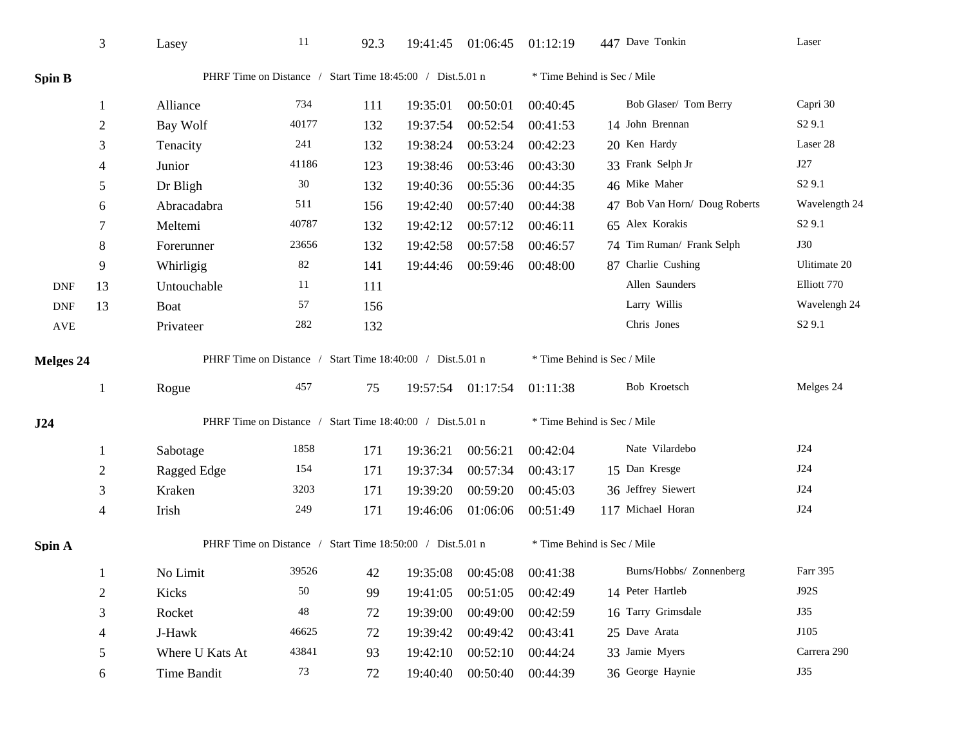|                  | 3              | Lasey                                                     | 11          | 92.3 |          | 19:41:45 01:06:45 | 01:12:19                    | 447 Dave Tonkin               | Laser              |  |
|------------------|----------------|-----------------------------------------------------------|-------------|------|----------|-------------------|-----------------------------|-------------------------------|--------------------|--|
| Spin B           |                | PHRF Time on Distance / Start Time 18:45:00 / Dist.5.01 n |             |      |          |                   | * Time Behind is Sec / Mile |                               |                    |  |
|                  | -1             | Alliance                                                  | 734         | 111  | 19:35:01 | 00:50:01          | 00:40:45                    | Bob Glaser/ Tom Berry         | Capri 30           |  |
|                  | $\sqrt{2}$     | Bay Wolf                                                  | 40177       | 132  | 19:37:54 | 00:52:54          | 00:41:53                    | 14 John Brennan               | S <sub>2</sub> 9.1 |  |
|                  | 3              | Tenacity                                                  | 241         | 132  | 19:38:24 | 00:53:24          | 00:42:23                    | 20 Ken Hardy                  | Laser 28           |  |
|                  | 4              | Junior                                                    | 41186       | 123  | 19:38:46 | 00:53:46          | 00:43:30                    | 33 Frank Selph Jr             | J27                |  |
|                  | 5              | Dr Bligh                                                  | 30          | 132  | 19:40:36 | 00:55:36          | 00:44:35                    | 46 Mike Maher                 | S <sub>2</sub> 9.1 |  |
|                  | 6              | Abracadabra                                               | 511         | 156  | 19:42:40 | 00:57:40          | 00:44:38                    | 47 Bob Van Horn/ Doug Roberts | Wavelength 24      |  |
|                  | 7              | Meltemi                                                   | 40787       | 132  | 19:42:12 | 00:57:12          | 00:46:11                    | 65 Alex Korakis               | S <sub>2</sub> 9.1 |  |
|                  | 8              | Forerunner                                                | 23656       | 132  | 19:42:58 | 00:57:58          | 00:46:57                    | 74 Tim Ruman/ Frank Selph     | <b>J30</b>         |  |
|                  | 9              | Whirligig                                                 | 82          | 141  | 19:44:46 | 00:59:46          | 00:48:00                    | 87 Charlie Cushing            | Ulitimate 20       |  |
| <b>DNF</b>       | 13             | Untouchable                                               | 11          | 111  |          |                   |                             | Allen Saunders                | Elliott 770        |  |
| <b>DNF</b>       | 13             | Boat                                                      | 57          | 156  |          |                   |                             | Larry Willis                  | Wavelengh 24       |  |
| AVE              |                | Privateer                                                 | 282         | 132  |          |                   |                             | Chris Jones                   | S <sub>2</sub> 9.1 |  |
| <b>Melges 24</b> |                | PHRF Time on Distance / Start Time 18:40:00 / Dist.5.01 n |             |      |          |                   | * Time Behind is Sec / Mile |                               |                    |  |
|                  | 1              | Rogue                                                     | 457         | 75   |          | 19:57:54 01:17:54 | 01:11:38                    | Bob Kroetsch                  | Melges 24          |  |
| J24              |                | PHRF Time on Distance / Start Time 18:40:00 / Dist.5.01 n |             |      |          |                   | * Time Behind is Sec / Mile |                               |                    |  |
|                  | 1              | Sabotage                                                  | 1858        | 171  | 19:36:21 | 00:56:21          | 00:42:04                    | Nate Vilardebo                | J24                |  |
|                  | $\overline{2}$ | Ragged Edge                                               | 154         | 171  | 19:37:34 | 00:57:34          | 00:43:17                    | 15 Dan Kresge                 | J24                |  |
|                  | 3              | Kraken                                                    | 3203        | 171  | 19:39:20 | 00:59:20          | 00:45:03                    | 36 Jeffrey Siewert            | J24                |  |
|                  | $\overline{4}$ | Irish                                                     | 249         | 171  | 19:46:06 | 01:06:06          | 00:51:49                    | 117 Michael Horan             | <b>J24</b>         |  |
| Spin A           |                | PHRF Time on Distance / Start Time 18:50:00 / Dist.5.01 n |             |      |          |                   | * Time Behind is Sec / Mile |                               |                    |  |
|                  | -1             | No Limit                                                  | 39526       | 42   | 19:35:08 | 00:45:08          | 00:41:38                    | Burns/Hobbs/ Zonnenberg       | Farr 395           |  |
|                  | $\overline{2}$ | Kicks                                                     | 50          | 99   | 19:41:05 | 00:51:05          | 00:42:49                    | 14 Peter Hartleb              | J92S               |  |
|                  | $\mathfrak{Z}$ | Rocket                                                    | $\sqrt{48}$ | 72   | 19:39:00 | 00:49:00          | 00:42:59                    | 16 Tarry Grimsdale            | J35                |  |
|                  | 4              | J-Hawk                                                    | 46625       | 72   | 19:39:42 | 00:49:42          | 00:43:41                    | 25 Dave Arata                 | J105               |  |
|                  | $\sqrt{5}$     | Where U Kats At                                           | 43841       | 93   | 19:42:10 | 00:52:10          | 00:44:24                    | 33 Jamie Myers                | Carrera 290        |  |
|                  | 6              | <b>Time Bandit</b>                                        | 73          | 72   | 19:40:40 | 00:50:40          | 00:44:39                    | 36 George Haynie              | J35                |  |